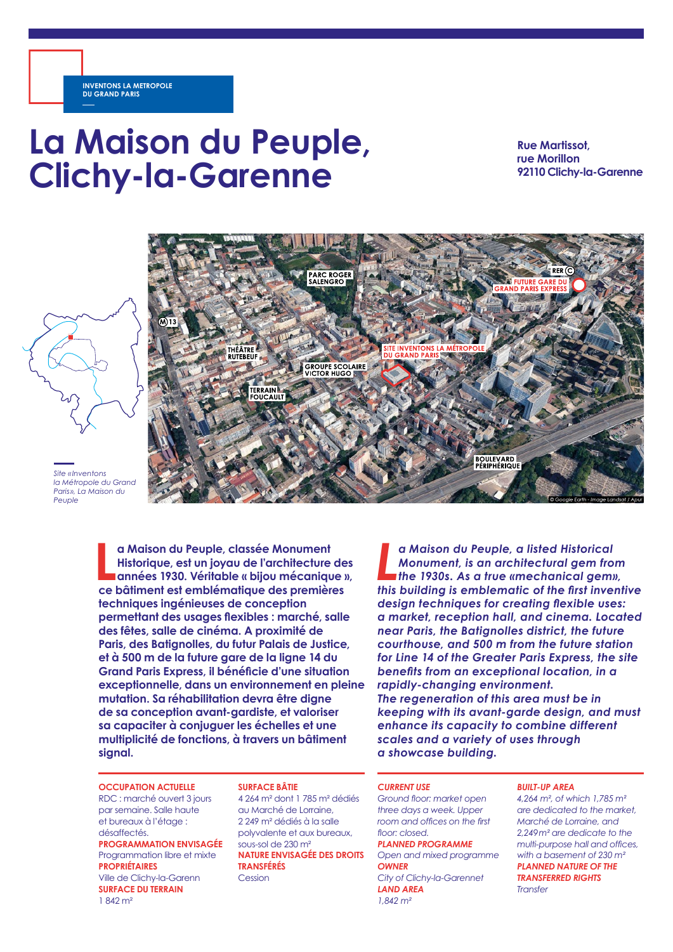# **La Maison du Peuple, Clichy-la-Garenne**

**Rue Martissot, rue Morillon 92110 Clichy-la-Garenne**



*Paris », La Maison du Peuple*

> **L a Maison du Peuple, classée Monument Historique, est un joyau de l'architecture des années 1930. Véritable « bijou mécanique », ce bâtiment est emblématique des premières techniques ingénieuses de conception permettant des usages flexibles : marché, salle des fêtes, salle de cinéma. A proximité de Paris, des Batignolles, du futur Palais de Justice, et à 500 m de la future gare de la ligne 14 du Grand Paris Express, il bénéficie d'une situation exceptionnelle, dans un environnement en pleine mutation. Sa réhabilitation devra être digne de sa conception avant-gardiste, et valoriser sa capaciter à conjuguer les échelles et une multiplicité de fonctions, à travers un bâtiment signal.**

**OCCUPATION ACTUELLE** RDC : marché ouvert 3 jours

par semaine. Salle haute et bureaux à l'étage : désaffectés. **PROGRAMMATION ENVISAGÉE** Programmation libre et mixte **PROPRIÉTAIRES** Ville de Clichy-la-Garenn **SURFACE DU TERRAIN**

1 842 m²

### **SURFACE BÂTIE**

4 264 m² dont 1 785 m² dédiés au Marché de Lorraine, 2 249 m² dédiés à la salle polyvalente et aux bureaux, sous-sol de 230 m² **NATURE ENVISAGÉE DES DROITS TRANSFÉRÉS** Cession

**La Maison du Peuple, a listed Historical<br>
Monument, is an architectural gem from<br>
this building is emblematic of the first inventive** *a Maison du Peuple, a listed Historical Monument, is an architectural gem from the 1930s. As a true «mechanical gem», design techniques for creating flexible uses: a market, reception hall, and cinema. Located near Paris, the Batignolles district, the future courthouse, and 500 m from the future station for Line 14 of the Greater Paris Express, the site benefits from an exceptional location, in a rapidly-changing environment. The regeneration of this area must be in keeping with its avant-garde design, and must enhance its capacity to combine different scales and a variety of uses through a showcase building.*

#### *CURRENT USE*

*Ground floor: market open three days a week. Upper room and offices on the first floor: closed.*

*PLANNED PROGRAMME Open and mixed programme OWNER City of Clichy-la-Garennet*

*LAND AREA 1,842 m²* 

#### *BUILT-UP AREA*

*4,264 m², of which 1,785 m² are dedicated to the market, Marché de Lorraine, and 2,249m² are dedicate to the multi-purpose hall and offices, with a basement of 230 m² PLANNED NATURE OF THE TRANSFERRED RIGHTS Transfer*